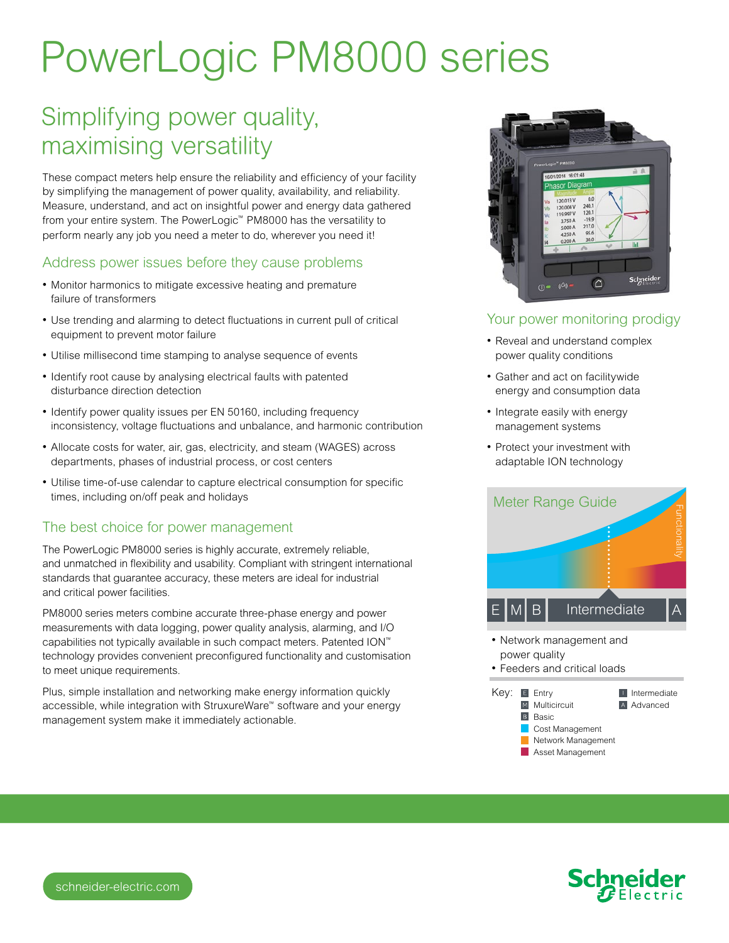# PowerLogic PM8000 series

# Simplifying power quality, maximising versatility

These compact meters help ensure the reliability and efficiency of your facility by simplifying the management of power quality, availability, and reliability. Measure, understand, and act on insightful power and energy data gathered from your entire system. The PowerLogic™ PM8000 has the versatility to perform nearly any job you need a meter to do, wherever you need it!

#### Address power issues before they cause problems

- Monitor harmonics to mitigate excessive heating and premature failure of transformers
- Use trending and alarming to detect fluctuations in current pull of critical equipment to prevent motor failure
- Utilise millisecond time stamping to analyse sequence of events
- Identify root cause by analysing electrical faults with patented disturbance direction detection
- Identify power quality issues per EN 50160, including frequency inconsistency, voltage fluctuations and unbalance, and harmonic contribution
- Allocate costs for water, air, gas, electricity, and steam (WAGES) across departments, phases of industrial process, or cost centers
- • Utilise time-of-use calendar to capture electrical consumption for specific times, including on/off peak and holidays

#### The best choice for power management

The PowerLogic PM8000 series is highly accurate, extremely reliable, and unmatched in flexibility and usability. Compliant with stringent international standards that guarantee accuracy, these meters are ideal for industrial and critical power facilities.

PM8000 series meters combine accurate three-phase energy and power measurements with data logging, power quality analysis, alarming, and I/O capabilities not typically available in such compact meters. Patented ION™ technology provides convenient preconfigured functionality and customisation to meet unique requirements.

Plus, simple installation and networking make energy information quickly accessible, while integration with StruxureWare™ software and your energy management system make it immediately actionable.



## Your power monitoring prodigy

- Reveal and understand complex power quality conditions
- Gather and act on facilitywide energy and consumption data
- Integrate easily with energy management systems
- Protect your investment with adaptable ION technology